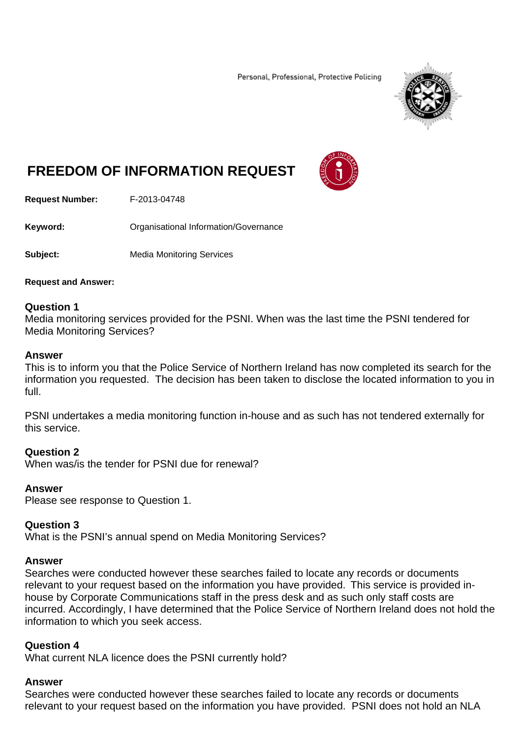Personal, Professional, Protective Policing



# **FREEDOM OF INFORMATION REQUEST**



**Request Number:** F-2013-04748

**Keyword:** Organisational Information/Governance

**Subject:** Media Monitoring Services

**Request and Answer:** 

## **Question 1**

Media monitoring services provided for the PSNI. When was the last time the PSNI tendered for Media Monitoring Services?

### **Answer**

This is to inform you that the Police Service of Northern Ireland has now completed its search for the information you requested. The decision has been taken to disclose the located information to you in full.

PSNI undertakes a media monitoring function in-house and as such has not tendered externally for this service.

## **Question 2**

When was/is the tender for PSNI due for renewal?

## **Answer**

Please see response to Question 1.

### **Question 3**

What is the PSNI's annual spend on Media Monitoring Services?

### **Answer**

Searches were conducted however these searches failed to locate any records or documents relevant to your request based on the information you have provided. This service is provided inhouse by Corporate Communications staff in the press desk and as such only staff costs are incurred. Accordingly, I have determined that the Police Service of Northern Ireland does not hold the information to which you seek access.

## **Question 4**

What current NLA licence does the PSNI currently hold?

### **Answer**

Searches were conducted however these searches failed to locate any records or documents relevant to your request based on the information you have provided. PSNI does not hold an NLA